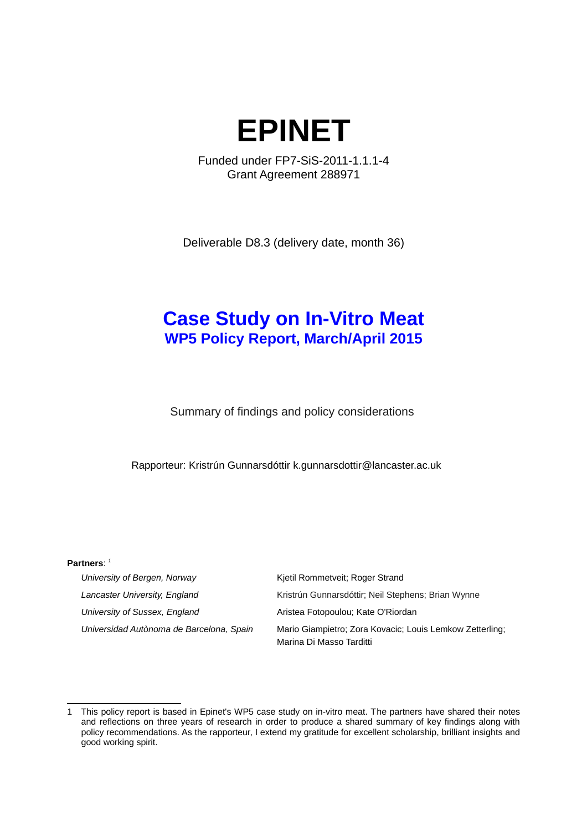

Funded under FP7-SiS-2011-1.1.1-4 Grant Agreement 288971

Deliverable D8.3 (delivery date, month 36)

# **Case Study on In-Vitro Meat WP5 Policy Report, March/April 2015**

Summary of findings and policy considerations

Rapporteur: Kristrún Gunnarsdóttir k.gunnarsdottir@lancaster.ac.uk

#### **Partners**: *[1](#page-0-0)*

| University of Bergen, Norway             | Kjetil Rommetveit; Roger Strand                                                      |
|------------------------------------------|--------------------------------------------------------------------------------------|
| Lancaster University, England            | Kristrún Gunnarsdóttir; Neil Stephens; Brian Wynne                                   |
| University of Sussex, England            | Aristea Fotopoulou; Kate O'Riordan                                                   |
| Universidad Autònoma de Barcelona, Spain | Mario Giampietro; Zora Kovacic; Louis Lemkow Zetterling;<br>Marina Di Masso Tarditti |

<span id="page-0-0"></span><sup>1</sup> This policy report is based in Epinet's WP5 case study on in-vitro meat. The partners have shared their notes and reflections on three years of research in order to produce a shared summary of key findings along with policy recommendations. As the rapporteur, I extend my gratitude for excellent scholarship, brilliant insights and good working spirit.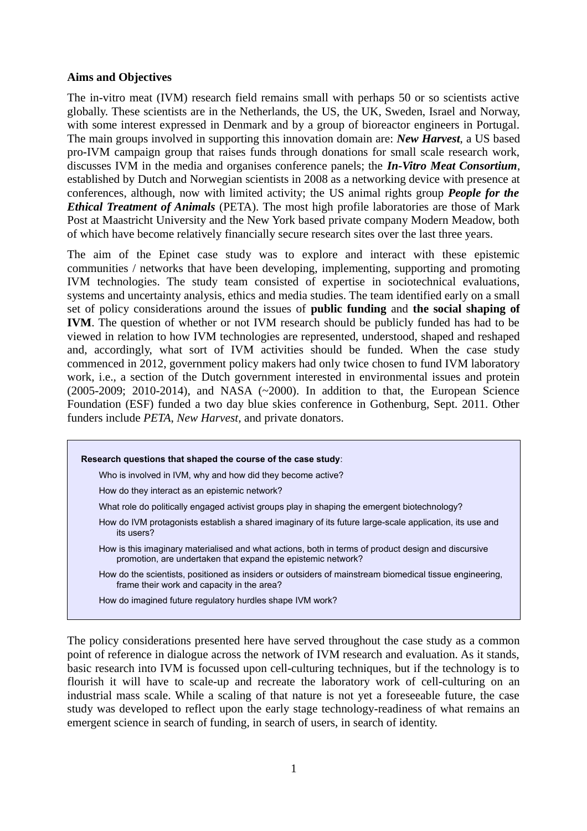### **Aims and Objectives**

The in-vitro meat (IVM) research field remains small with perhaps 50 or so scientists active globally. These scientists are in the Netherlands, the US, the UK, Sweden, Israel and Norway, with some interest expressed in Denmark and by a group of bioreactor engineers in Portugal. The main groups involved in supporting this innovation domain are: *New Harvest*, a US based pro-IVM campaign group that raises funds through donations for small scale research work, discusses IVM in the media and organises conference panels; the *In-Vitro Meat Consortium*, established by Dutch and Norwegian scientists in 2008 as a networking device with presence at conferences, although, now with limited activity; the US animal rights group *People for the Ethical Treatment of Animals* (PETA). The most high profile laboratories are those of Mark Post at Maastricht University and the New York based private company Modern Meadow, both of which have become relatively financially secure research sites over the last three years.

The aim of the Epinet case study was to explore and interact with these epistemic communities / networks that have been developing, implementing, supporting and promoting IVM technologies. The study team consisted of expertise in sociotechnical evaluations, systems and uncertainty analysis, ethics and media studies. The team identified early on a small set of policy considerations around the issues of **public funding** and **the social shaping of IVM**. The question of whether or not IVM research should be publicly funded has had to be viewed in relation to how IVM technologies are represented, understood, shaped and reshaped and, accordingly, what sort of IVM activities should be funded. When the case study commenced in 2012, government policy makers had only twice chosen to fund IVM laboratory work, i.e., a section of the Dutch government interested in environmental issues and protein (2005-2009; 2010-2014), and NASA (~2000). In addition to that, the European Science Foundation (ESF) funded a two day blue skies conference in Gothenburg, Sept. 2011. Other funders include *PETA*, *New Harvest,* and private donators.



The policy considerations presented here have served throughout the case study as a common point of reference in dialogue across the network of IVM research and evaluation. As it stands, basic research into IVM is focussed upon cell-culturing techniques, but if the technology is to flourish it will have to scale-up and recreate the laboratory work of cell-culturing on an industrial mass scale. While a scaling of that nature is not yet a foreseeable future, the case study was developed to reflect upon the early stage technology-readiness of what remains an emergent science in search of funding, in search of users, in search of identity.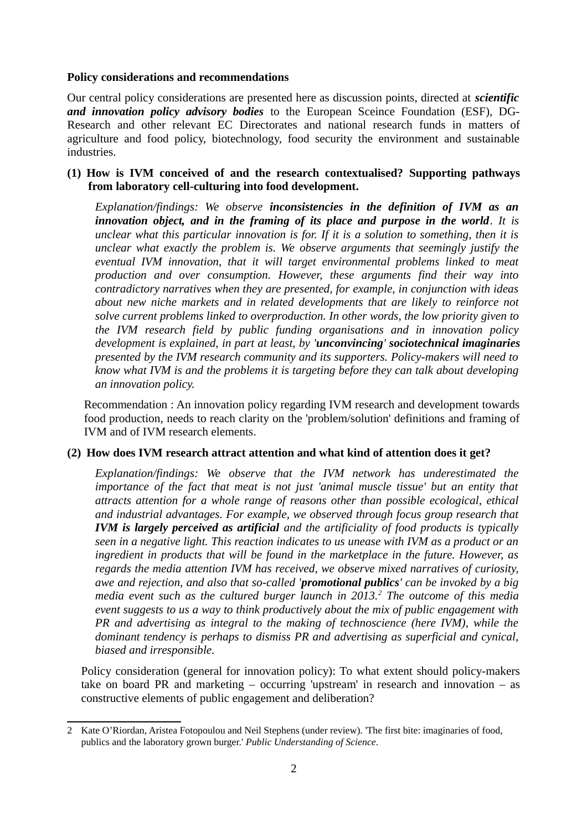#### **Policy considerations and recommendations**

Our central policy considerations are presented here as discussion points, directed at *scientific and innovation policy advisory bodies* to the European Sceince Foundation (ESF), DG-Research and other relevant EC Directorates and national research funds in matters of agriculture and food policy, biotechnology, food security the environment and sustainable industries.

### **(1) How is IVM conceived of and the research contextualised? Supporting pathways from laboratory cell-culturing into food development.**

*Explanation/findings: We observe inconsistencies in the definition of IVM as an innovation object, and in the framing of its place and purpose in the world. It is unclear what this particular innovation is for. If it is a solution to something, then it is unclear what exactly the problem is. We observe arguments that seemingly justify the eventual IVM innovation, that it will target environmental problems linked to meat production and over consumption. However, these arguments find their way into contradictory narratives when they are presented, for example, in conjunction with ideas about new niche markets and in related developments that are likely to reinforce not solve current problems linked to overproduction. In other words, the low priority given to the IVM research field by public funding organisations and in innovation policy development is explained, in part at least, by 'unconvincing' sociotechnical imaginaries presented by the IVM research community and its supporters. Policy-makers will need to know what IVM is and the problems it is targeting before they can talk about developing an innovation policy.*

Recommendation : An innovation policy regarding IVM research and development towards food production, needs to reach clarity on the 'problem/solution' definitions and framing of IVM and of IVM research elements.

### **(2) How does IVM research attract attention and what kind of attention does it get?**

*Explanation/findings: We observe that the IVM network has underestimated the importance of the fact that meat is not just 'animal muscle tissue' but an entity that attracts attention for a whole range of reasons other than possible ecological, ethical and industrial advantages. For example, we observed through focus group research that IVM is largely perceived as artificial and the artificiality of food products is typically seen in a negative light. This reaction indicates to us unease with IVM as a product or an ingredient in products that will be found in the marketplace in the future. However, as regards the media attention IVM has received, we observe mixed narratives of curiosity, awe and rejection, and also that so-called 'promotional publics' can be invoked by a big media event such as the cultured burger launch in 2013.[2](#page-2-0) The outcome of this media event suggests to us a way to think productively about the mix of public engagement with PR and advertising as integral to the making of technoscience (here IVM), while the dominant tendency is perhaps to dismiss PR and advertising as superficial and cynical, biased and irresponsible.*

Policy consideration (general for innovation policy): To what extent should policy-makers take on board PR and marketing  $-$  occurring 'upstream' in research and innovation  $-$  as constructive elements of public engagement and deliberation?

<span id="page-2-0"></span><sup>2</sup> Kate O'Riordan, Aristea Fotopoulou and Neil Stephens (under review). 'The first bite: imaginaries of food, publics and the laboratory grown burger.' *Public Understanding of Science*.